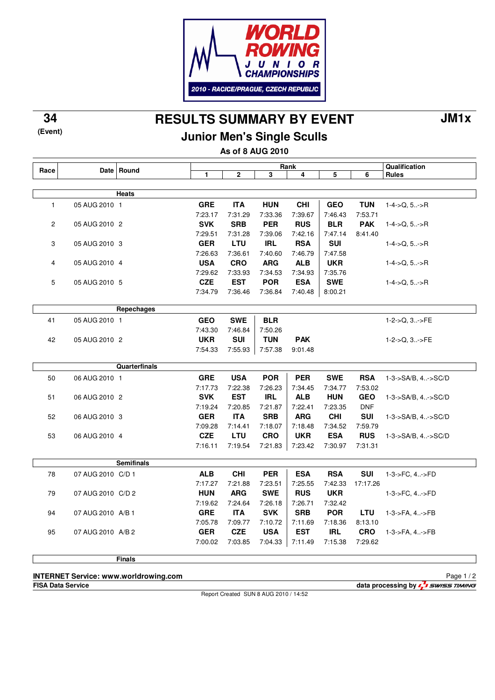

**RESULTS SUMMARY BY EVENT 34 JM1x**

## **Junior Men's Single Sculls**

**As of 8 AUG 2010**

| Race           |                   | Date Round        | Rank       |              |            |            |            |            | Qualification      |
|----------------|-------------------|-------------------|------------|--------------|------------|------------|------------|------------|--------------------|
|                |                   |                   | 1          | $\mathbf{2}$ | 3          | 4          | 5          | 6          | <b>Rules</b>       |
|                |                   |                   |            |              |            |            |            |            |                    |
|                |                   | Heats             |            |              |            |            |            |            |                    |
| $\mathbf{1}$   | 05 AUG 2010 1     |                   | <b>GRE</b> | <b>ITA</b>   | <b>HUN</b> | <b>CHI</b> | <b>GEO</b> | <b>TUN</b> | $1-4$ ->Q, 5->R    |
|                |                   |                   | 7:23.17    | 7:31.29      | 7:33.36    | 7:39.67    | 7:46.43    | 7:53.71    |                    |
| $\overline{2}$ | 05 AUG 2010 2     |                   | <b>SVK</b> | <b>SRB</b>   | <b>PER</b> | <b>RUS</b> | <b>BLR</b> | <b>PAK</b> | $1-4$ ->Q, $5$ >R  |
|                |                   |                   | 7:29.51    | 7:31.28      | 7:39.06    | 7:42.16    | 7:47.14    | 8:41.40    |                    |
| 3              | 05 AUG 2010 3     |                   | <b>GER</b> | <b>LTU</b>   | <b>IRL</b> | <b>RSA</b> | <b>SUI</b> |            | $1-4$ ->Q, 5->R    |
|                |                   |                   | 7:26.63    | 7:36.61      | 7:40.60    | 7:46.79    | 7:47.58    |            |                    |
| $\overline{4}$ | 05 AUG 2010 4     |                   | <b>USA</b> | <b>CRO</b>   | <b>ARG</b> | <b>ALB</b> | <b>UKR</b> |            | $1-4$ ->Q, 5->R    |
|                |                   |                   | 7:29.62    | 7:33.93      | 7:34.53    | 7:34.93    | 7:35.76    |            |                    |
| 5              | 05 AUG 2010 5     |                   | <b>CZE</b> | <b>EST</b>   | <b>POR</b> | <b>ESA</b> | <b>SWE</b> |            | $1-4$ ->Q, 5->R    |
|                |                   |                   | 7:34.79    | 7:36.46      | 7:36.84    | 7:40.48    | 8:00.21    |            |                    |
|                |                   |                   |            |              |            |            |            |            |                    |
|                |                   | Repechages        |            |              |            |            |            |            |                    |
| 41             | 05 AUG 2010 1     |                   | <b>GEO</b> | <b>SWE</b>   | <b>BLR</b> |            |            |            | $1-2-5Q, 3$ >FE    |
|                |                   |                   | 7:43.30    | 7:46.84      | 7:50.26    |            |            |            |                    |
| 42             | 05 AUG 2010 2     |                   | <b>UKR</b> | <b>SUI</b>   | <b>TUN</b> | <b>PAK</b> |            |            | $1-2-Q$ , $3$ >FE  |
|                |                   |                   | 7:54.33    | 7:55.93      | 7:57.38    | 9:01.48    |            |            |                    |
|                |                   |                   |            |              |            |            |            |            |                    |
|                |                   | Quarterfinals     |            |              |            |            |            |            |                    |
| 50             | 06 AUG 2010 1     |                   | <b>GRE</b> | <b>USA</b>   | <b>POR</b> | <b>PER</b> | <b>SWE</b> | <b>RSA</b> | 1-3->SA/B, 4->SC/D |
|                |                   |                   | 7:17.73    | 7:22.38      | 7:26.23    | 7:34.45    | 7:34.77    | 7:53.02    |                    |
| 51             | 06 AUG 2010 2     |                   | <b>SVK</b> | <b>EST</b>   | <b>IRL</b> | <b>ALB</b> | <b>HUN</b> | <b>GEO</b> | 1-3->SA/B, 4->SC/D |
|                |                   |                   | 7:19.24    | 7:20.85      | 7:21.87    | 7:22.41    | 7:23.35    | <b>DNF</b> |                    |
| 52             | 06 AUG 2010 3     |                   | <b>GER</b> | <b>ITA</b>   | <b>SRB</b> | <b>ARG</b> | <b>CHI</b> | <b>SUI</b> | 1-3->SA/B, 4->SC/D |
|                |                   |                   | 7:09.28    | 7:14.41      | 7:18.07    | 7:18.48    | 7:34.52    | 7.59.79    |                    |
| 53             | 06 AUG 2010 4     |                   | <b>CZE</b> | <b>LTU</b>   | <b>CRO</b> | <b>UKR</b> | <b>ESA</b> | <b>RUS</b> | 1-3->SA/B, 4->SC/D |
|                |                   |                   | 7:16.11    | 7:19.54      | 7:21.83    | 7:23.42    | 7:30.97    | 7:31.31    |                    |
|                |                   |                   |            |              |            |            |            |            |                    |
|                |                   | <b>Semifinals</b> |            |              |            |            |            |            |                    |
| 78             | 07 AUG 2010 C/D 1 |                   | <b>ALB</b> | <b>CHI</b>   | <b>PER</b> | <b>ESA</b> | <b>RSA</b> | <b>SUI</b> | 1-3->FC, 4->FD     |
|                |                   |                   | 7:17.27    | 7:21.88      | 7:23.51    | 7:25.55    | 7:42.33    | 17:17.26   |                    |
| 79             | 07 AUG 2010 C/D 2 |                   | <b>HUN</b> | <b>ARG</b>   | <b>SWE</b> | <b>RUS</b> | <b>UKR</b> |            | 1-3->FC, 4->FD     |
|                |                   |                   | 7:19.62    | 7:24.64      | 7:26.18    | 7:26.71    | 7:32.42    |            |                    |
| 94             | 07 AUG 2010 A/B 1 |                   | <b>GRE</b> | <b>ITA</b>   | <b>SVK</b> | <b>SRB</b> | <b>POR</b> | <b>LTU</b> | 1-3->FA, 4->FB     |
|                |                   |                   | 7:05.78    | 7:09.77      | 7:10.72    | 7:11.69    | 7:18.36    | 8:13.10    |                    |
| 95             | 07 AUG 2010 A/B 2 |                   | <b>GER</b> | <b>CZE</b>   | <b>USA</b> | <b>EST</b> | <b>IRL</b> | <b>CRO</b> | 1-3->FA, 4->FB     |
|                |                   |                   | 7:00.02    | 7:03.85      | 7:04.33    | 7:11.49    | 7:15.38    | 7:29.62    |                    |
|                |                   |                   |            |              |            |            |            |            |                    |
|                |                   | <b>Finals</b>     |            |              |            |            |            |            |                    |
|                |                   |                   |            |              |            |            |            |            |                    |

**INTERNET Service: www.worldrowing.com**

**FISA Data Service data processing by**  $\frac{1}{2}$  **SWISS TIMING** 

**(Event)**

Report Created SUN 8 AUG 2010 / 14:52

Page 1 / 2